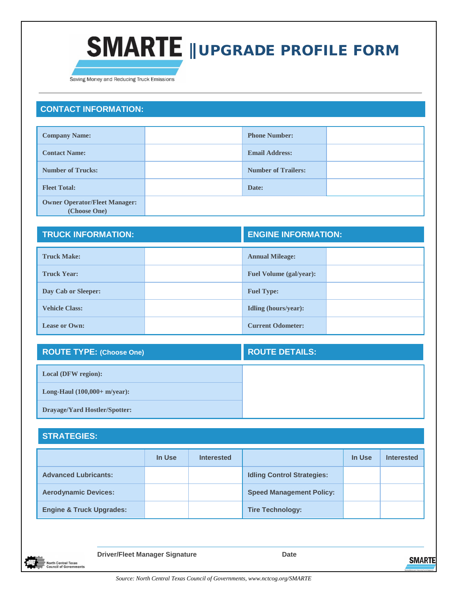

Saving Money and Reducing Truck Emissions

## **CONTACT INFORMATION:**

| <b>Company Name:</b>                                 | <b>Phone Number:</b>       |  |
|------------------------------------------------------|----------------------------|--|
| <b>Contact Name:</b>                                 | <b>Email Address:</b>      |  |
| <b>Number of Trucks:</b>                             | <b>Number of Trailers:</b> |  |
| <b>Fleet Total:</b>                                  | Date:                      |  |
| <b>Owner Operator/Fleet Manager:</b><br>(Choose One) |                            |  |

| <b>TRUCK INFORMATION:</b> |  | <b>ENGINE INFORMATION:</b>     |  |
|---------------------------|--|--------------------------------|--|
| <b>Truck Make:</b>        |  | <b>Annual Mileage:</b>         |  |
| <b>Truck Year:</b>        |  | <b>Fuel Volume (gal/year):</b> |  |
| Day Cab or Sleeper:       |  | <b>Fuel Type:</b>              |  |
| <b>Vehicle Class:</b>     |  | Idling (hours/year):           |  |
| <b>Lease or Own:</b>      |  | <b>Current Odometer:</b>       |  |

| <b>ROUTE TYPE: (Choose One)</b>      | <b>ROUTE DETAILS:</b> |
|--------------------------------------|-----------------------|
| <b>Local (DFW region):</b>           |                       |
| Long-Haul $(100,000+$ m/year):       |                       |
| <b>Drayage/Yard Hostler/Spotter:</b> |                       |

## **STRATEGIES:**

|                                     | In Use | <b>Interested</b> |                                   | In Use | <b>Interested</b> |
|-------------------------------------|--------|-------------------|-----------------------------------|--------|-------------------|
| <b>Advanced Lubricants:</b>         |        |                   | <b>Idling Control Strategies:</b> |        |                   |
| <b>Aerodynamic Devices:</b>         |        |                   | <b>Speed Management Policy:</b>   |        |                   |
| <b>Engine &amp; Truck Upgrades:</b> |        |                   | <b>Tire Technology:</b>           |        |                   |

**Driver/Fleet Manager Signature Date Date North Central Texas<br>Council of Governments**